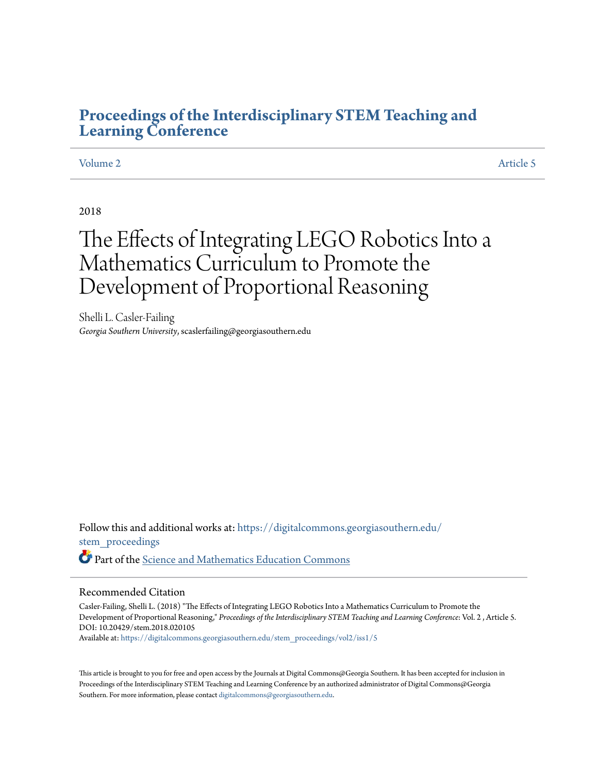## **[Proceedings of the Interdisciplinary STEM Teaching and](https://digitalcommons.georgiasouthern.edu/stem_proceedings?utm_source=digitalcommons.georgiasouthern.edu%2Fstem_proceedings%2Fvol2%2Fiss1%2F5&utm_medium=PDF&utm_campaign=PDFCoverPages) [Learning Conference](https://digitalcommons.georgiasouthern.edu/stem_proceedings?utm_source=digitalcommons.georgiasouthern.edu%2Fstem_proceedings%2Fvol2%2Fiss1%2F5&utm_medium=PDF&utm_campaign=PDFCoverPages)**

## [Volume 2](https://digitalcommons.georgiasouthern.edu/stem_proceedings/vol2?utm_source=digitalcommons.georgiasouthern.edu%2Fstem_proceedings%2Fvol2%2Fiss1%2F5&utm_medium=PDF&utm_campaign=PDFCoverPages) [Article 5](https://digitalcommons.georgiasouthern.edu/stem_proceedings/vol2/iss1/5?utm_source=digitalcommons.georgiasouthern.edu%2Fstem_proceedings%2Fvol2%2Fiss1%2F5&utm_medium=PDF&utm_campaign=PDFCoverPages)

## 2018

# The Effects of Integrating LEGO Robotics Into a Mathematics Curriculum to Promote the Development of Proportional Reasoning

Shelli L. Casler-Failing *Georgia Southern University*, scaslerfailing@georgiasouthern.edu

Follow this and additional works at: [https://digitalcommons.georgiasouthern.edu/](https://digitalcommons.georgiasouthern.edu/stem_proceedings?utm_source=digitalcommons.georgiasouthern.edu%2Fstem_proceedings%2Fvol2%2Fiss1%2F5&utm_medium=PDF&utm_campaign=PDFCoverPages) [stem\\_proceedings](https://digitalcommons.georgiasouthern.edu/stem_proceedings?utm_source=digitalcommons.georgiasouthern.edu%2Fstem_proceedings%2Fvol2%2Fiss1%2F5&utm_medium=PDF&utm_campaign=PDFCoverPages) Part of the [Science and Mathematics Education Commons](http://network.bepress.com/hgg/discipline/800?utm_source=digitalcommons.georgiasouthern.edu%2Fstem_proceedings%2Fvol2%2Fiss1%2F5&utm_medium=PDF&utm_campaign=PDFCoverPages)

#### Recommended Citation

Casler-Failing, Shelli L. (2018) "The Effects of Integrating LEGO Robotics Into a Mathematics Curriculum to Promote the Development of Proportional Reasoning," *Proceedings of the Interdisciplinary STEM Teaching and Learning Conference*: Vol. 2 , Article 5. DOI: 10.20429/stem.2018.020105

Available at: [https://digitalcommons.georgiasouthern.edu/stem\\_proceedings/vol2/iss1/5](https://digitalcommons.georgiasouthern.edu/stem_proceedings/vol2/iss1/5?utm_source=digitalcommons.georgiasouthern.edu%2Fstem_proceedings%2Fvol2%2Fiss1%2F5&utm_medium=PDF&utm_campaign=PDFCoverPages)

This article is brought to you for free and open access by the Journals at Digital Commons@Georgia Southern. It has been accepted for inclusion in Proceedings of the Interdisciplinary STEM Teaching and Learning Conference by an authorized administrator of Digital Commons@Georgia Southern. For more information, please contact [digitalcommons@georgiasouthern.edu.](mailto:digitalcommons@georgiasouthern.edu)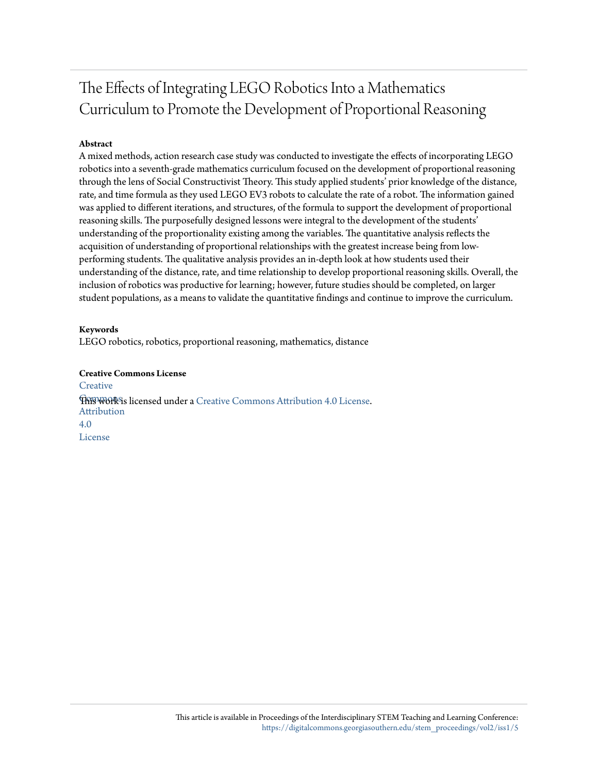## The Effects of Integrating LEGO Robotics Into a Mathematics Curriculum to Promote the Development of Proportional Reasoning

## **Abstract**

A mixed methods, action research case study was conducted to investigate the effects of incorporating LEGO robotics into a seventh-grade mathematics curriculum focused on the development of proportional reasoning through the lens of Social Constructivist Theory. This study applied students' prior knowledge of the distance, rate, and time formula as they used LEGO EV3 robots to calculate the rate of a robot. The information gained was applied to different iterations, and structures, of the formula to support the development of proportional reasoning skills. The purposefully designed lessons were integral to the development of the students' understanding of the proportionality existing among the variables. The quantitative analysis reflects the acquisition of understanding of proportional relationships with the greatest increase being from lowperforming students. The qualitative analysis provides an in-depth look at how students used their understanding of the distance, rate, and time relationship to develop proportional reasoning skills. Overall, the inclusion of robotics was productive for learning; however, future studies should be completed, on larger student populations, as a means to validate the quantitative findings and continue to improve the curriculum.

## **Keywords**

LEGO robotics, robotics, proportional reasoning, mathematics, distance

## **Creative Commons License**

**[Creative](http://creativecommons.org/licenses/by/4.0/) Fhis work is licensed under a** [Creative Commons Attribution 4.0 License.](http://creativecommons.org/licenses/by/4.0/) Attribution 4.0 License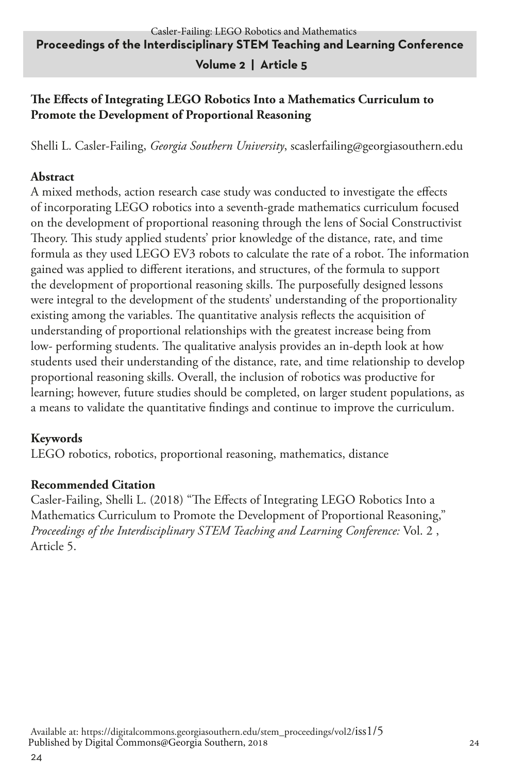## **Volume 2 | Article 5**

## **The Effects of Integrating LEGO Robotics Into a Mathematics Curriculum to Promote the Development of Proportional Reasoning**

Shelli L. Casler-Failing, *Georgia Southern University*, scaslerfailing@georgiasouthern.edu

## **Abstract**

A mixed methods, action research case study was conducted to investigate the effects of incorporating LEGO robotics into a seventh-grade mathematics curriculum focused on the development of proportional reasoning through the lens of Social Constructivist Theory. This study applied students' prior knowledge of the distance, rate, and time formula as they used LEGO EV3 robots to calculate the rate of a robot. The information gained was applied to different iterations, and structures, of the formula to support the development of proportional reasoning skills. The purposefully designed lessons were integral to the development of the students' understanding of the proportionality existing among the variables. The quantitative analysis reflects the acquisition of understanding of proportional relationships with the greatest increase being from low- performing students. The qualitative analysis provides an in-depth look at how students used their understanding of the distance, rate, and time relationship to develop proportional reasoning skills. Overall, the inclusion of robotics was productive for learning; however, future studies should be completed, on larger student populations, as a means to validate the quantitative findings and continue to improve the curriculum.

## **Keywords**

LEGO robotics, robotics, proportional reasoning, mathematics, distance

## **Recommended Citation**

Casler-Failing, Shelli L. (2018) "The Effects of Integrating LEGO Robotics Into a Mathematics Curriculum to Promote the Development of Proportional Reasoning," *Proceedings of the Interdisciplinary STEM Teaching and Learning Conference:* Vol. 2 , Article 5.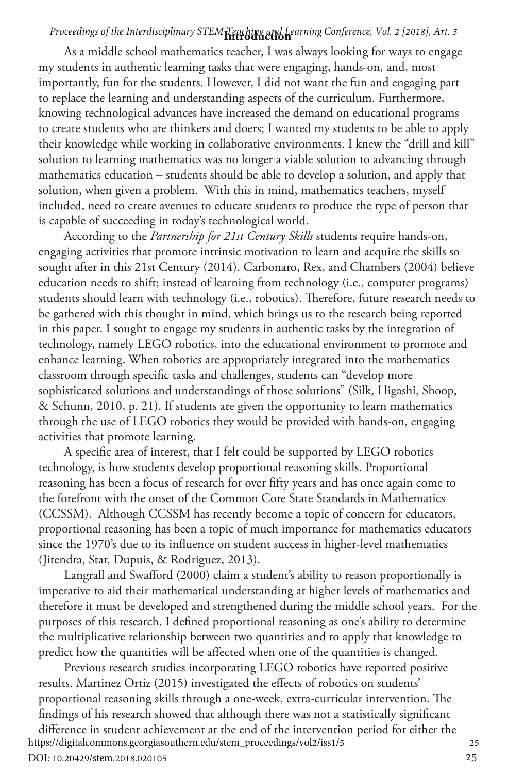## **Introduction** *Proceedings of the Interdisciplinary STEM Teaching and Learning Conference, Vol. 2 [2018], Art. 5*

As a middle school mathematics teacher, I was always looking for ways to engage my students in authentic learning tasks that were engaging, hands-on, and, most importantly, fun for the students. However, I did not want the fun and engaging part to replace the learning and understanding aspects of the curriculum. Furthermore, knowing technological advances have increased the demand on educational programs to create students who are thinkers and doers; I wanted my students to be able to apply their knowledge while working in collaborative environments. I knew the "drill and kill" solution to learning mathematics was no longer a viable solution to advancing through mathematics education – students should be able to develop a solution, and apply that solution, when given a problem. With this in mind, mathematics teachers, myself included, need to create avenues to educate students to produce the type of person that is capable of succeeding in today's technological world.

According to the *Partnership for 21st Century Skills* students require hands-on, engaging activities that promote intrinsic motivation to learn and acquire the skills so sought after in this 21st Century (2014). Carbonaro, Rex, and Chambers (2004) believe education needs to shift; instead of learning from technology (i.e., computer programs) students should learn with technology (i.e., robotics). Therefore, future research needs to be gathered with this thought in mind, which brings us to the research being reported in this paper. I sought to engage my students in authentic tasks by the integration of technology, namely LEGO robotics, into the educational environment to promote and enhance learning. When robotics are appropriately integrated into the mathematics classroom through specific tasks and challenges, students can "develop more sophisticated solutions and understandings of those solutions" (Silk, Higashi, Shoop, & Schunn, 2010, p. 21). If students are given the opportunity to learn mathematics through the use of LEGO robotics they would be provided with hands-on, engaging activities that promote learning.

A specific area of interest, that I felt could be supported by LEGO robotics technology, is how students develop proportional reasoning skills. Proportional reasoning has been a focus of research for over fifty years and has once again come to the forefront with the onset of the Common Core State Standards in Mathematics (CCSSM). Although CCSSM has recently become a topic of concern for educators, proportional reasoning has been a topic of much importance for mathematics educators since the 1970's due to its influence on student success in higher-level mathematics (Jitendra, Star, Dupuis, & Rodriguez, 2013).

Langrall and Swafford (2000) claim a student's ability to reason proportionally is imperative to aid their mathematical understanding at higher levels of mathematics and therefore it must be developed and strengthened during the middle school years. For the purposes of this research, I defined proportional reasoning as one's ability to determine the multiplicative relationship between two quantities and to apply that knowledge to predict how the quantities will be affected when one of the quantities is changed.

Previous research studies incorporating LEGO robotics have reported positive results. Martinez Ortiz (2015) investigated the effects of robotics on students' proportional reasoning skills through a one-week, extra-curricular intervention. The findings of his research showed that although there was not a statistically significant

difference in student achievement at the end of the intervention period for either the <br>tps://digitalcommons.georgiasouthern.edu/stem\_proceedings/vol2/iss1/5 https://digitalcommons.georgiasouthern.edu/stem\_proceedings/vol2/iss1/5 DOI: 10.20429/stem.2018.020105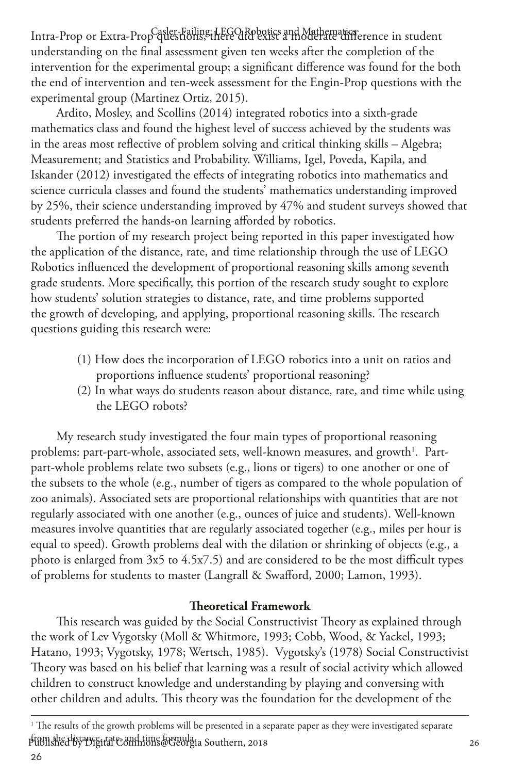Intra-Prop or Extra-Prop questions, there did by the politics and Mathematic terence in student understanding on the final assessment given ten weeks after the completion of the intervention for the experimental group; a significant difference was found for the both the end of intervention and ten-week assessment for the Engin-Prop questions with the experimental group (Martinez Ortiz, 2015).

Ardito, Mosley, and Scollins (2014) integrated robotics into a sixth-grade mathematics class and found the highest level of success achieved by the students was in the areas most reflective of problem solving and critical thinking skills – Algebra; Measurement; and Statistics and Probability. Williams, Igel, Poveda, Kapila, and Iskander (2012) investigated the effects of integrating robotics into mathematics and science curricula classes and found the students' mathematics understanding improved by 25%, their science understanding improved by 47% and student surveys showed that students preferred the hands-on learning afforded by robotics.

The portion of my research project being reported in this paper investigated how the application of the distance, rate, and time relationship through the use of LEGO Robotics influenced the development of proportional reasoning skills among seventh grade students. More specifically, this portion of the research study sought to explore how students' solution strategies to distance, rate, and time problems supported the growth of developing, and applying, proportional reasoning skills. The research questions guiding this research were:

- (1) How does the incorporation of LEGO robotics into a unit on ratios and proportions influence students' proportional reasoning?
- (2) In what ways do students reason about distance, rate, and time while using the LEGO robots?

My research study investigated the four main types of proportional reasoning problems: part-part-whole, associated sets, well-known measures, and growth $^{\rm l}$ . Partpart-whole problems relate two subsets (e.g., lions or tigers) to one another or one of the subsets to the whole (e.g., number of tigers as compared to the whole population of zoo animals). Associated sets are proportional relationships with quantities that are not regularly associated with one another (e.g., ounces of juice and students). Well-known measures involve quantities that are regularly associated together (e.g., miles per hour is equal to speed). Growth problems deal with the dilation or shrinking of objects (e.g., a photo is enlarged from 3x5 to 4.5x7.5) and are considered to be the most difficult types of problems for students to master (Langrall & Swafford, 2000; Lamon, 1993).

#### **Theoretical Framework**

This research was guided by the Social Constructivist Theory as explained through the work of Lev Vygotsky (Moll & Whitmore, 1993; Cobb, Wood, & Yackel, 1993; Hatano, 1993; Vygotsky, 1978; Wertsch, 1985). Vygotsky's (1978) Social Constructivist Theory was based on his belief that learning was a result of social activity which allowed children to construct knowledge and understanding by playing and conversing with other children and adults. This theory was the foundation for the development of the

<sup>1</sup> The results of the growth problems will be presented in a separate paper as they were investigated separate p<del>ublished by Digital Collanions Corpula</del>ia Southern, 2018<br>26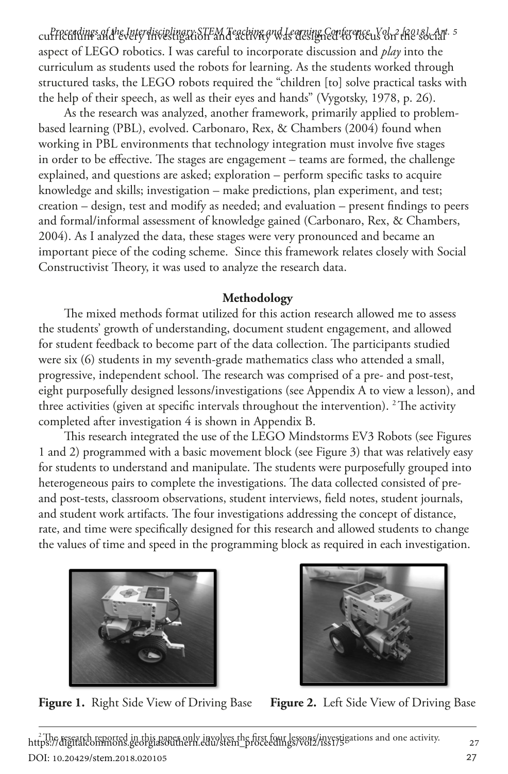curriculum and every investigation and activity was designed to focus on the social *Proceedings of the Interdisciplinary STEM Teaching and Learning Conference, Vol. 2 [2018], Art. 5* aspect of LEGO robotics. I was careful to incorporate discussion and *play* into the curriculum as students used the robots for learning. As the students worked through structured tasks, the LEGO robots required the "children [to] solve practical tasks with the help of their speech, as well as their eyes and hands" (Vygotsky, 1978, p. 26).

As the research was analyzed, another framework, primarily applied to problembased learning (PBL), evolved. Carbonaro, Rex, & Chambers (2004) found when working in PBL environments that technology integration must involve five stages in order to be effective. The stages are engagement – teams are formed, the challenge explained, and questions are asked; exploration – perform specific tasks to acquire knowledge and skills; investigation – make predictions, plan experiment, and test; creation – design, test and modify as needed; and evaluation – present findings to peers and formal/informal assessment of knowledge gained (Carbonaro, Rex, & Chambers, 2004). As I analyzed the data, these stages were very pronounced and became an important piece of the coding scheme. Since this framework relates closely with Social Constructivist Theory, it was used to analyze the research data.

### **Methodology**

The mixed methods format utilized for this action research allowed me to assess the students' growth of understanding, document student engagement, and allowed for student feedback to become part of the data collection. The participants studied were six (6) students in my seventh-grade mathematics class who attended a small, progressive, independent school. The research was comprised of a pre- and post-test, eight purposefully designed lessons/investigations (see Appendix A to view a lesson), and three activities (given at specific intervals throughout the intervention). <sup>2</sup> The activity completed after investigation 4 is shown in Appendix B.

This research integrated the use of the LEGO Mindstorms EV3 Robots (see Figures 1 and 2) programmed with a basic movement block (see Figure 3) that was relatively easy for students to understand and manipulate. The students were purposefully grouped into heterogeneous pairs to complete the investigations. The data collected consisted of preand post-tests, classroom observations, student interviews, field notes, student journals, and student work artifacts. The four investigations addressing the concept of distance, rate, and time were specifically designed for this research and allowed students to change the values of time and speed in the programming block as required in each investigation.







https://digitalcommons.georgiasouthern.edu/stem\_proceedings/vol2/iss1/gations and one activity.<br>https://digitalcommons.georgiasouthern.edu/stem\_proceedings/vol2/iss1/gations and one activity. DOI: 10.20429/stem.2018.020105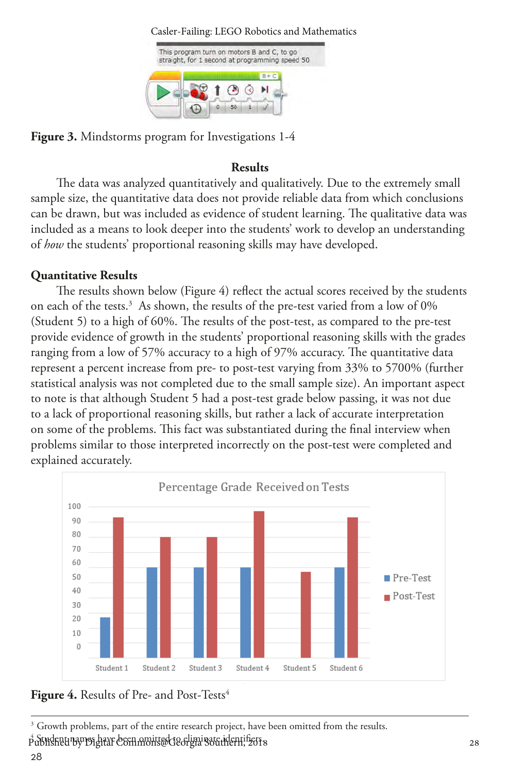

**Figure 3.** Mindstorms program for Investigations 1-4

## **Results**

The data was analyzed quantitatively and qualitatively. Due to the extremely small sample size, the quantitative data does not provide reliable data from which conclusions can be drawn, but was included as evidence of student learning. The qualitative data was included as a means to look deeper into the students' work to develop an understanding of *how* the students' proportional reasoning skills may have developed.

## **Quantitative Results**

The results shown below (Figure 4) reflect the actual scores received by the students on each of the tests.<sup>3</sup> As shown, the results of the pre-test varied from a low of 0% (Student 5) to a high of 60%. The results of the post-test, as compared to the pre-test provide evidence of growth in the students' proportional reasoning skills with the grades ranging from a low of 57% accuracy to a high of 97% accuracy. The quantitative data represent a percent increase from pre- to post-test varying from 33% to 5700% (further statistical analysis was not completed due to the small sample size). An important aspect to note is that although Student 5 had a post-test grade below passing, it was not due to a lack of proportional reasoning skills, but rather a lack of accurate interpretation on some of the problems. This fact was substantiated during the final interview when problems similar to those interpreted incorrectly on the post-test were completed and explained accurately.



Figure 4. Results of Pre- and Post-Tests<sup>4</sup>

<sup>&</sup>lt;sup>3</sup> Growth problems, part of the entire research project, have been omitted from the results. 4 Student names have been omitted to eliminate identifiers. Published by Digital Commons@Georgia Southern, 2018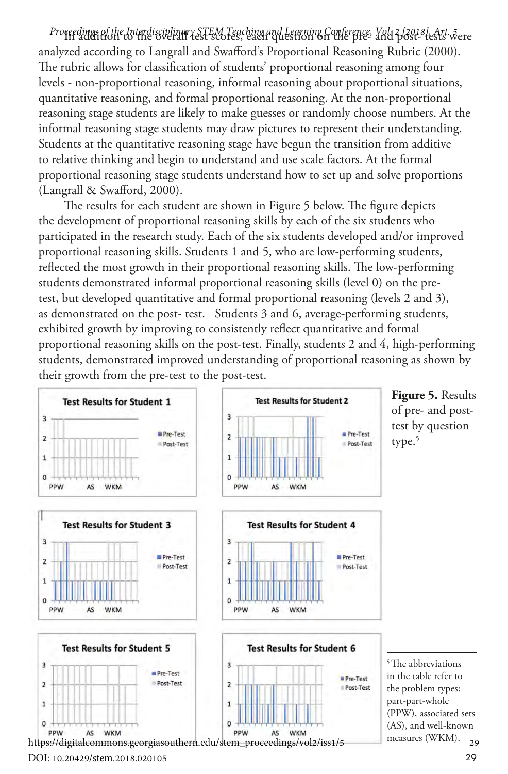Proceedings of the Interdisciplinary STEM Teaching and Learning Conference, Yoly 2 *[2018] tests* were analyzed according to Langrall and Swafford's Proportional Reasoning Rubric (2000). The rubric allows for classification of students' proportional reasoning among four levels - non-proportional reasoning, informal reasoning about proportional situations, quantitative reasoning, and formal proportional reasoning. At the non-proportional reasoning stage students are likely to make guesses or randomly choose numbers. At the informal reasoning stage students may draw pictures to represent their understanding. Students at the quantitative reasoning stage have begun the transition from additive to relative thinking and begin to understand and use scale factors. At the formal proportional reasoning stage students understand how to set up and solve proportions (Langrall & Swafford, 2000).

The results for each student are shown in Figure 5 below. The figure depicts the development of proportional reasoning skills by each of the six students who participated in the research study. Each of the six students developed and/or improved proportional reasoning skills. Students 1 and 5, who are low-performing students, reflected the most growth in their proportional reasoning skills. The low-performing students demonstrated informal proportional reasoning skills (level 0) on the pretest, but developed quantitative and formal proportional reasoning (levels 2 and 3), as demonstrated on the post- test. Students 3 and 6, average-performing students, exhibited growth by improving to consistently reflect quantitative and formal proportional reasoning skills on the post-test. Finally, students 2 and 4, high-performing students, demonstrated improved understanding of proportional reasoning as shown by their growth from the pre-test to the post-test.



DOI: 10.20429/stem.2018.020105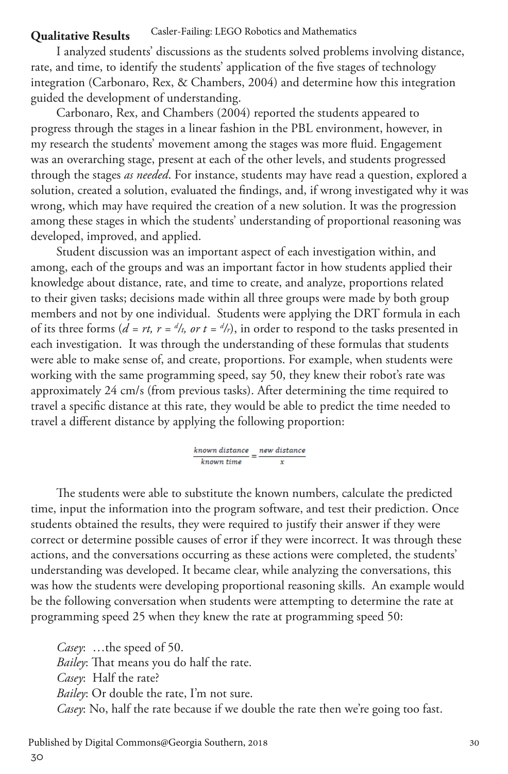#### **Qualitative Results** Casler-Failing: LEGO Robotics and Mathematics

I analyzed students' discussions as the students solved problems involving distance, rate, and time, to identify the students' application of the five stages of technology integration (Carbonaro, Rex, & Chambers, 2004) and determine how this integration guided the development of understanding.

Carbonaro, Rex, and Chambers (2004) reported the students appeared to progress through the stages in a linear fashion in the PBL environment, however, in my research the students' movement among the stages was more fluid. Engagement was an overarching stage, present at each of the other levels, and students progressed through the stages *as needed*. For instance, students may have read a question, explored a solution, created a solution, evaluated the findings, and, if wrong investigated why it was wrong, which may have required the creation of a new solution. It was the progression among these stages in which the students' understanding of proportional reasoning was developed, improved, and applied.

Student discussion was an important aspect of each investigation within, and among, each of the groups and was an important factor in how students applied their knowledge about distance, rate, and time to create, and analyze, proportions related to their given tasks; decisions made within all three groups were made by both group members and not by one individual. Students were applying the DRT formula in each of its three forms ( $d = rt$ ,  $r = \frac{d}{t}$ , or  $t = \frac{d}{r}$ ), in order to respond to the tasks presented in each investigation. It was through the understanding of these formulas that students were able to make sense of, and create, proportions. For example, when students were working with the same programming speed, say 50, they knew their robot's rate was approximately 24 cm/s (from previous tasks). After determining the time required to travel a specific distance at this rate, they would be able to predict the time needed to travel a different distance by applying the following proportion:

> $\frac{known\ distance}{\sqrt{1-\frac{1}{2}}}= \frac{new\ distance}{\sqrt{1-\frac{1}{2}}}=$ known time

The students were able to substitute the known numbers, calculate the predicted time, input the information into the program software, and test their prediction. Once students obtained the results, they were required to justify their answer if they were correct or determine possible causes of error if they were incorrect. It was through these actions, and the conversations occurring as these actions were completed, the students' understanding was developed. It became clear, while analyzing the conversations, this was how the students were developing proportional reasoning skills. An example would be the following conversation when students were attempting to determine the rate at programming speed 25 when they knew the rate at programming speed 50:

*Casey*: …the speed of 50. *Bailey*: That means you do half the rate. *Casey*: Half the rate? *Bailey*: Or double the rate, I'm not sure. *Casey*: No, half the rate because if we double the rate then we're going too fast.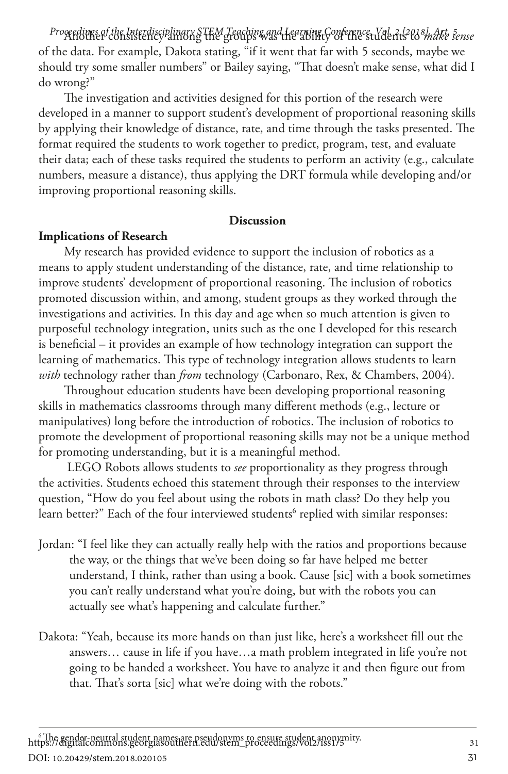Progedings of the Interdisciplinary STEM Teaching and Learning Conference, Vol. 2 tl<sup>2</sup>tl3 *make sense* of the data. For example, Dakota stating, "if it went that far with 5 seconds, maybe we should try some smaller numbers" or Bailey saying, "That doesn't make sense, what did I do wrong?"

The investigation and activities designed for this portion of the research were developed in a manner to support student's development of proportional reasoning skills by applying their knowledge of distance, rate, and time through the tasks presented. The format required the students to work together to predict, program, test, and evaluate their data; each of these tasks required the students to perform an activity (e.g., calculate numbers, measure a distance), thus applying the DRT formula while developing and/or improving proportional reasoning skills.

#### **Discussion**

#### **Implications of Research**

My research has provided evidence to support the inclusion of robotics as a means to apply student understanding of the distance, rate, and time relationship to improve students' development of proportional reasoning. The inclusion of robotics promoted discussion within, and among, student groups as they worked through the investigations and activities. In this day and age when so much attention is given to purposeful technology integration, units such as the one I developed for this research is beneficial – it provides an example of how technology integration can support the learning of mathematics. This type of technology integration allows students to learn *with* technology rather than *from* technology (Carbonaro, Rex, & Chambers, 2004).

Throughout education students have been developing proportional reasoning skills in mathematics classrooms through many different methods (e.g., lecture or manipulatives) long before the introduction of robotics. The inclusion of robotics to promote the development of proportional reasoning skills may not be a unique method for promoting understanding, but it is a meaningful method.

 LEGO Robots allows students to *see* proportionality as they progress through the activities. Students echoed this statement through their responses to the interview question, "How do you feel about using the robots in math class? Do they help you learn better?" Each of the four interviewed students<sup>6</sup> replied with similar responses:

- Jordan: "I feel like they can actually really help with the ratios and proportions because the way, or the things that we've been doing so far have helped me better understand, I think, rather than using a book. Cause [sic] with a book sometimes you can't really understand what you're doing, but with the robots you can actually see what's happening and calculate further."
- Dakota: "Yeah, because its more hands on than just like, here's a worksheet fill out the answers… cause in life if you have…a math problem integrated in life you're not going to be handed a worksheet. You have to analyze it and then figure out from that. That's sorta [sic] what we're doing with the robots."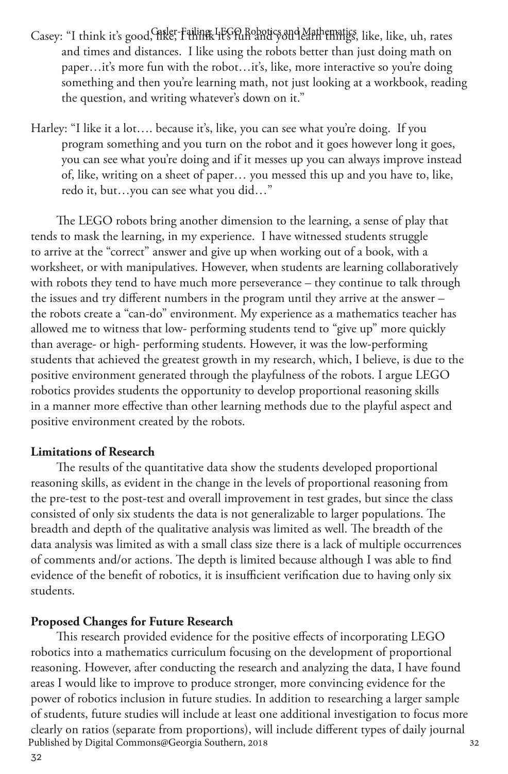- Casey: "I think it's good, Risler-Failing: LEGO Robotics and Mathematics, like, like, uh, rates and times and distances. I like using the robots better than just doing math on paper...it's more fun with the robot...it's, like, more interactive so you're doing something and then you're learning math, not just looking at a workbook, reading the question, and writing whatever's down on it."
- Harley: "I like it a lot…. because it's, like, you can see what you're doing. If you program something and you turn on the robot and it goes however long it goes, you can see what you're doing and if it messes up you can always improve instead of, like, writing on a sheet of paper… you messed this up and you have to, like, redo it, but…you can see what you did…"

The LEGO robots bring another dimension to the learning, a sense of play that tends to mask the learning, in my experience. I have witnessed students struggle to arrive at the "correct" answer and give up when working out of a book, with a worksheet, or with manipulatives. However, when students are learning collaboratively with robots they tend to have much more perseverance – they continue to talk through the issues and try different numbers in the program until they arrive at the answer – the robots create a "can-do" environment. My experience as a mathematics teacher has allowed me to witness that low- performing students tend to "give up" more quickly than average- or high- performing students. However, it was the low-performing students that achieved the greatest growth in my research, which, I believe, is due to the positive environment generated through the playfulness of the robots. I argue LEGO robotics provides students the opportunity to develop proportional reasoning skills in a manner more effective than other learning methods due to the playful aspect and positive environment created by the robots.

#### **Limitations of Research**

The results of the quantitative data show the students developed proportional reasoning skills, as evident in the change in the levels of proportional reasoning from the pre-test to the post-test and overall improvement in test grades, but since the class consisted of only six students the data is not generalizable to larger populations. The breadth and depth of the qualitative analysis was limited as well. The breadth of the data analysis was limited as with a small class size there is a lack of multiple occurrences of comments and/or actions. The depth is limited because although I was able to find evidence of the benefit of robotics, it is insufficient verification due to having only six students.

#### **Proposed Changes for Future Research**

This research provided evidence for the positive effects of incorporating LEGO robotics into a mathematics curriculum focusing on the development of proportional reasoning. However, after conducting the research and analyzing the data, I have found areas I would like to improve to produce stronger, more convincing evidence for the power of robotics inclusion in future studies. In addition to researching a larger sample of students, future studies will include at least one additional investigation to focus more clearly on ratios (separate from proportions), will include different types of daily journal<br>Published by Digital Commons@Georgia Southern, 2018 Published by Digital Commons@Georgia Southern, 2018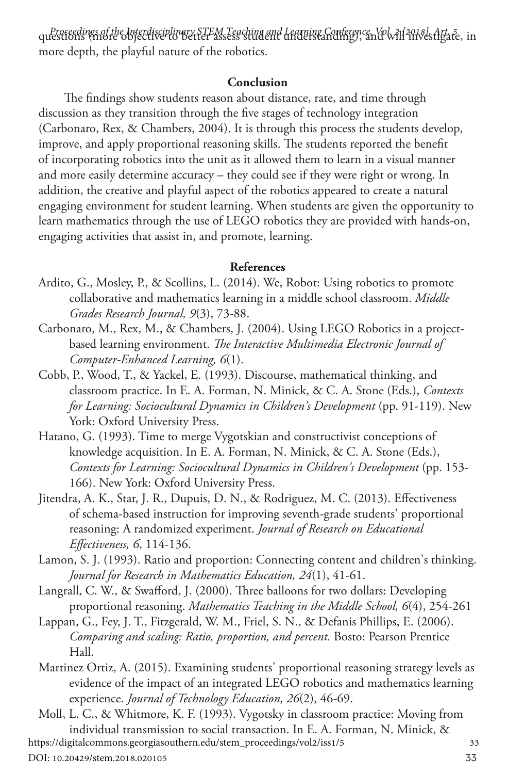questions (sin*et de Interdisciplinary STEM Teaching and Learning Conference, Yol. 2118-b. Art. 5e.* in *interdisciplinary of the Interdisciplinary of the Interdisciplinary of the Interdisciplinary of the Interdisc* more depth, the playful nature of the robotics.

#### **Conclusion**

The findings show students reason about distance, rate, and time through discussion as they transition through the five stages of technology integration (Carbonaro, Rex, & Chambers, 2004). It is through this process the students develop, improve, and apply proportional reasoning skills. The students reported the benefit of incorporating robotics into the unit as it allowed them to learn in a visual manner and more easily determine accuracy – they could see if they were right or wrong. In addition, the creative and playful aspect of the robotics appeared to create a natural engaging environment for student learning. When students are given the opportunity to learn mathematics through the use of LEGO robotics they are provided with hands-on, engaging activities that assist in, and promote, learning.

#### **References**

- Ardito, G., Mosley, P., & Scollins, L. (2014). We, Robot: Using robotics to promote collaborative and mathematics learning in a middle school classroom. *Middle Grades Research Journal, 9*(3), 73-88.
- Carbonaro, M., Rex, M., & Chambers, J. (2004). Using LEGO Robotics in a projectbased learning environment. *The Interactive Multimedia Electronic Journal of Computer-Enhanced Learning, 6*(1).
- Cobb, P., Wood, T., & Yackel, E. (1993). Discourse, mathematical thinking, and classroom practice. In E. A. Forman, N. Minick, & C. A. Stone (Eds.), *Contexts for Learning: Sociocultural Dynamics in Children's Development* (pp. 91-119). New York: Oxford University Press.
- Hatano, G. (1993). Time to merge Vygotskian and constructivist conceptions of knowledge acquisition. In E. A. Forman, N. Minick, & C. A. Stone (Eds.), *Contexts for Learning: Sociocultural Dynamics in Children's Development* (pp. 153- 166). New York: Oxford University Press.
- Jitendra, A. K., Star, J. R., Dupuis, D. N., & Rodriguez, M. C. (2013). Effectiveness of schema-based instruction for improving seventh-grade students' proportional reasoning: A randomized experiment. *Journal of Research on Educational Effectiveness, 6*, 114-136.
- Lamon, S. J. (1993). Ratio and proportion: Connecting content and children's thinking. *Journal for Research in Mathematics Education, 24*(1), 41-61.
- Langrall, C. W., & Swafford, J. (2000). Three balloons for two dollars: Developing proportional reasoning. *Mathematics Teaching in the Middle School, 6*(4), 254-261
- Lappan, G., Fey, J. T., Fitzgerald, W. M., Friel, S. N., & Defanis Phillips, E. (2006). *Comparing and scaling: Ratio, proportion, and percent.* Bosto: Pearson Prentice Hall.
- Martinez Ortiz, A. (2015). Examining students' proportional reasoning strategy levels as evidence of the impact of an integrated LEGO robotics and mathematics learning experience. *Journal of Technology Education, 26*(2), 46-69.

Moll, L. C., & Whitmore, K. F. (1993). Vygotsky in classroom practice: Moving from individual transmission to social transaction. In E. A. Forman, N. Minick, & <sup>33</sup> https://digitalcommons.georgiasouthern.edu/stem\_proceedings/vol2/iss1/5

DOI: 10.20429/stem.2018.020105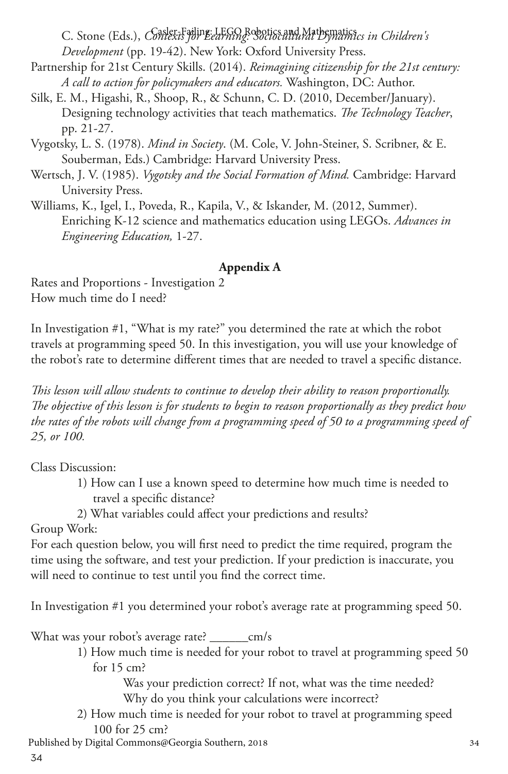C. Stone (Eds.), *Context* for *Earning*: Sociocand Mathematici<sub>es</sub> in Children's *Development* (pp. 19-42). New York: Oxford University Press.

- Partnership for 21st Century Skills. (2014). *Reimagining citizenship for the 21st century: A call to action for policymakers and educators.* Washington, DC: Author.
- Silk, E. M., Higashi, R., Shoop, R., & Schunn, C. D. (2010, December/January). Designing technology activities that teach mathematics. *The Technology Teacher*, pp. 21-27.
- Vygotsky, L. S. (1978). *Mind in Society*. (M. Cole, V. John-Steiner, S. Scribner, & E. Souberman, Eds.) Cambridge: Harvard University Press.
- Wertsch, J. V. (1985). *Vygotsky and the Social Formation of Mind.* Cambridge: Harvard University Press.
- Williams, K., Igel, I., Poveda, R., Kapila, V., & Iskander, M. (2012, Summer). Enriching K-12 science and mathematics education using LEGOs. *Advances in Engineering Education,* 1-27.

### **Appendix A**

Rates and Proportions - Investigation 2 How much time do I need?

In Investigation #1, "What is my rate?" you determined the rate at which the robot travels at programming speed 50. In this investigation, you will use your knowledge of the robot's rate to determine different times that are needed to travel a specific distance.

*This lesson will allow students to continue to develop their ability to reason proportionally. The objective of this lesson is for students to begin to reason proportionally as they predict how the rates of the robots will change from a programming speed of 50 to a programming speed of 25, or 100.*

Class Discussion:

- 1) How can I use a known speed to determine how much time is needed to travel a specific distance?
- 2) What variables could affect your predictions and results?

Group Work:

For each question below, you will first need to predict the time required, program the time using the software, and test your prediction. If your prediction is inaccurate, you will need to continue to test until you find the correct time.

In Investigation #1 you determined your robot's average rate at programming speed 50.

What was your robot's average rate? \_\_\_\_\_\_cm/s

1) How much time is needed for your robot to travel at programming speed 50 for 15 cm?

 Was your prediction correct? If not, what was the time needed? Why do you think your calculations were incorrect?

2) How much time is needed for your robot to travel at programming speed 100 for 25 cm? <sup>34</sup> Published by Digital Commons@Georgia Southern, 2018